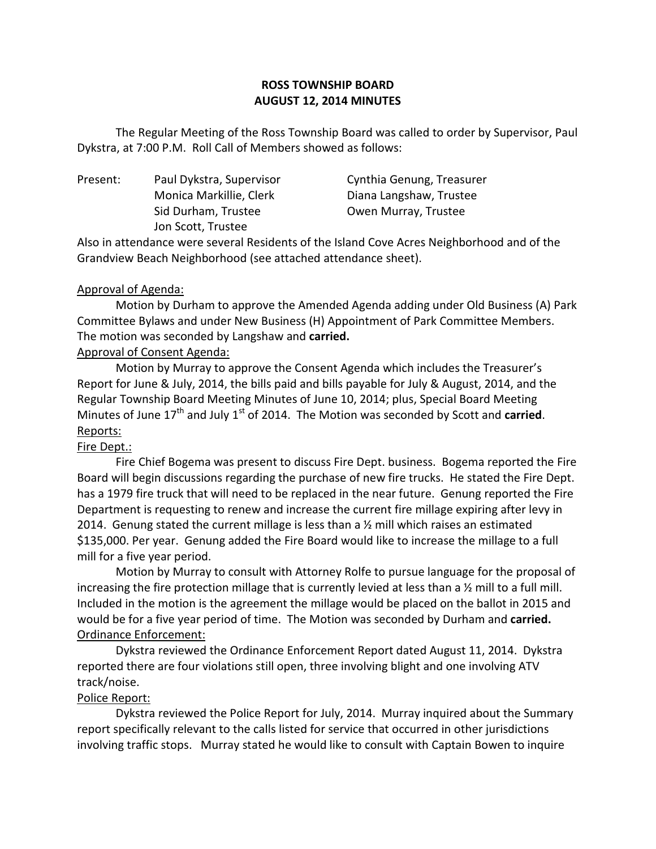# **ROSS TOWNSHIP BOARD AUGUST 12, 2014 MINUTES**

 Dykstra, at 7:00 P.M. Roll Call of Members showed as follows: The Regular Meeting of the Ross Township Board was called to order by Supervisor, Paul

Present: Jon Scott, Trustee

Paul Dykstra, Supervisor Cynthia Genung, Treasurer Monica Markillie, Clerk Diana Langshaw, Trustee Sid Durham, Trustee **Case Cowen Murray, Trustee** 

 Also in attendance were several Residents of the Island Cove Acres Neighborhood and of the Grandview Beach Neighborhood (see attached attendance sheet).

## Approval of Agenda:

 Motion by Durham to approve the Amended Agenda adding under Old Business (A) Park Committee Bylaws and under New Business (H) Appointment of Park Committee Members. The motion was seconded by Langshaw and **carried.** 

# Approval of Consent Agenda:

 Motion by Murray to approve the Consent Agenda which includes the Treasurer's Report for June & July, 2014, the bills paid and bills payable for July & August, 2014, and the Regular Township Board Meeting Minutes of June 10, 2014; plus, Special Board Meeting Minutes of June 17<sup>th</sup> and July 1<sup>st</sup> of 2014. The Motion was seconded by Scott and **carried**. Reports:

# Fire Dept.:

 Board will begin discussions regarding the purchase of new fire trucks. He stated the Fire Dept. has a 1979 fire truck that will need to be replaced in the near future. Genung reported the Fire Department is requesting to renew and increase the current fire millage expiring after levy in 2014. Genung stated the current millage is less than a ½ mill which raises an estimated \$135,000. Per year. Genung added the Fire Board would like to increase the millage to a full mill for a five year period. Fire Chief Bogema was present to discuss Fire Dept. business. Bogema reported the Fire

 Motion by Murray to consult with Attorney Rolfe to pursue language for the proposal of increasing the fire protection millage that is currently levied at less than a ½ mill to a full mill. Included in the motion is the agreement the millage would be placed on the ballot in 2015 and would be for a five year period of time. The Motion was seconded by Durham and **carried.**  Ordinance Enforcement:

 Dykstra reviewed the Ordinance Enforcement Report dated August 11, 2014. Dykstra reported there are four violations still open, three involving blight and one involving ATV track/noise.

# track/noise.<br><u>Police Report:</u>

 Dykstra reviewed the Police Report for July, 2014. Murray inquired about the Summary report specifically relevant to the calls listed for service that occurred in other jurisdictions involving traffic stops. Murray stated he would like to consult with Captain Bowen to inquire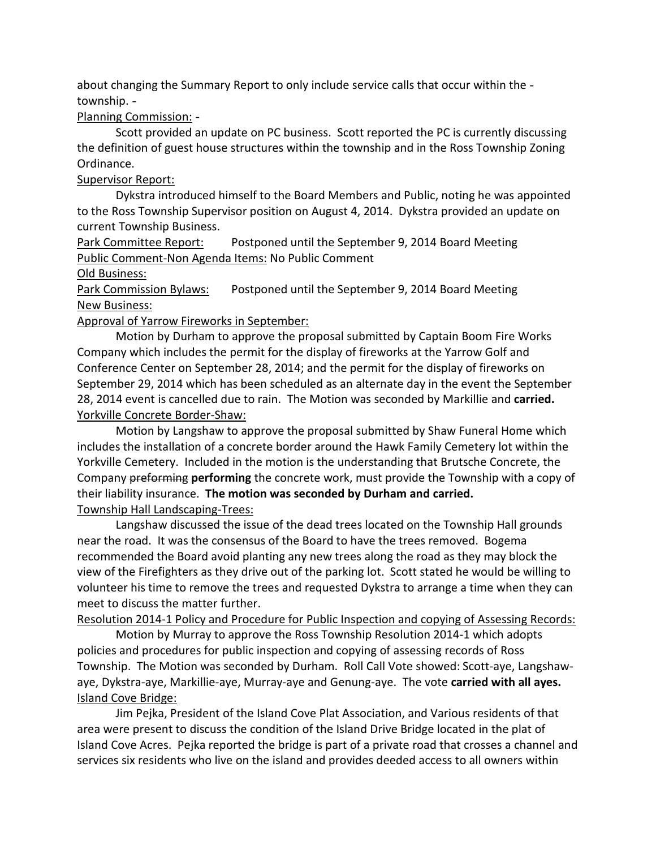about changing the Summary Report to only include service calls that occur within the township.

### Planning Commission: -

 the definition of guest house structures within the township and in the Ross Township Zoning Ordinance. Ordinance.<br>Supervisor Report: Scott provided an update on PC business. Scott reported the PC is currently discussing

 Dykstra introduced himself to the Board Members and Public, noting he was appointed to the Ross Township Supervisor position on August 4, 2014. Dykstra provided an update on current Township Business.

Park Committee Report: Public Comment-Non Agenda Items: No Public Comment Postponed until the September 9, 2014 Board Meeting

Old Business:

**Park Commission Bylaws: New Business:** Postponed until the September 9, 2014 Board Meeting

Approval of Yarrow Fireworks in September:

 Motion by Durham to approve the proposal submitted by Captain Boom Fire Works Company which includes the permit for the display of fireworks at the Yarrow Golf and Conference Center on September 28, 2014; and the permit for the display of fireworks on September 29, 2014 which has been scheduled as an alternate day in the event the September 28, 2014 event is cancelled due to rain. The Motion was seconded by Markillie and **carried.**  Yorkville Concrete Border-Shaw:

 Motion by Langshaw to approve the proposal submitted by Shaw Funeral Home which includes the installation of a concrete border around the Hawk Family Cemetery lot within the Yorkville Cemetery. Included in the motion is the understanding that Brutsche Concrete, the Company preforming **performing** the concrete work, must provide the Township with a copy of their liability insurance. **The motion was seconded by Durham and carried.**  Township Hall Landscaping-Trees:

 Langshaw discussed the issue of the dead trees located on the Township Hall grounds near the road. It was the consensus of the Board to have the trees removed. Bogema recommended the Board avoid planting any new trees along the road as they may block the view of the Firefighters as they drive out of the parking lot. Scott stated he would be willing to volunteer his time to remove the trees and requested Dykstra to arrange a time when they can meet to discuss the matter further.

Resolution 2014-1 Policy and Procedure for Public Inspection and copying of Assessing Records:

 Motion by Murray to approve the Ross Township Resolution 2014-1 which adopts policies and procedures for public inspection and copying of assessing records of Ross Township. The Motion was seconded by Durham. Roll Call Vote showed: Scott-aye, Langshaw- aye, Dykstra-aye, Markillie-aye, Murray-aye and Genung-aye. The vote **carried with all ayes.**  Island Cove Bridge:

 area were present to discuss the condition of the Island Drive Bridge located in the plat of Island Cove Acres. Pejka reported the bridge is part of a private road that crosses a channel and services six residents who live on the island and provides deeded access to all owners within Jim Pejka, President of the Island Cove Plat Association, and Various residents of that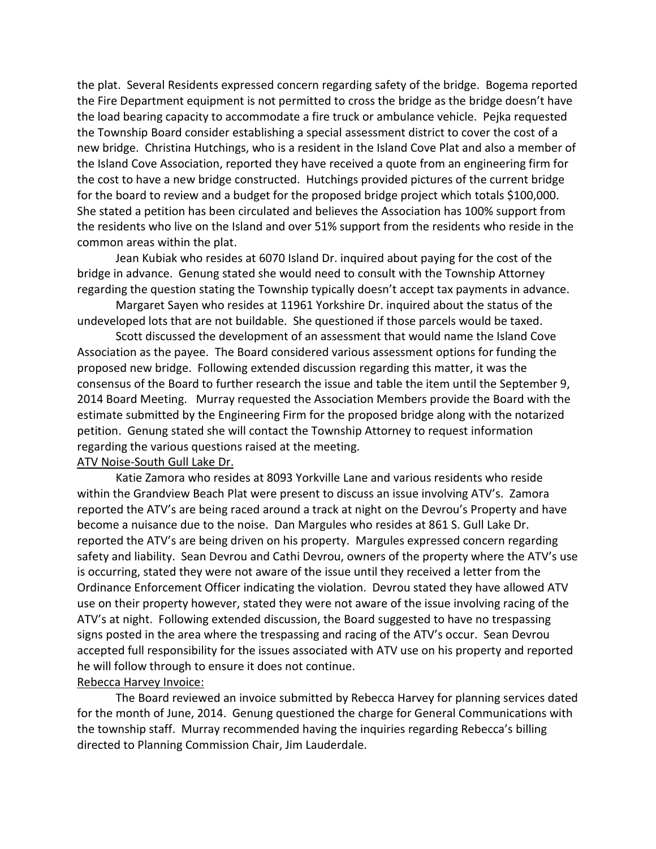the plat. Several Residents expressed concern regarding safety of the bridge. Bogema reported the Fire Department equipment is not permitted to cross the bridge as the bridge doesn't have the load bearing capacity to accommodate a fire truck or ambulance vehicle. Pejka requested new bridge. Christina Hutchings, who is a resident in the Island Cove Plat and also a member of the cost to have a new bridge constructed. Hutchings provided pictures of the current bridge for the board to review and a budget for the proposed bridge project which totals \$100,000. She stated a petition has been circulated and believes the Association has 100% support from the residents who live on the Island and over 51% support from the residents who reside in the common areas within the plat. the Township Board consider establishing a special assessment district to cover the cost of a the Island Cove Association, reported they have received a quote from an engineering firm for

 bridge in advance. Genung stated she would need to consult with the Township Attorney regarding the question stating the Township typically doesn't accept tax payments in advance. Jean Kubiak who resides at 6070 Island Dr. inquired about paying for the cost of the

 Margaret Sayen who resides at 11961 Yorkshire Dr. inquired about the status of the undeveloped lots that are not buildable. She questioned if those parcels would be taxed.

 Association as the payee. The Board considered various assessment options for funding the proposed new bridge. Following extended discussion regarding this matter, it was the consensus of the Board to further research the issue and table the item until the September 9, 2014 Board Meeting. Murray requested the Association Members provide the Board with the estimate submitted by the Engineering Firm for the proposed bridge along with the notarized petition. Genung stated she will contact the Township Attorney to request information regarding the various questions raised at the meeting. Scott discussed the development of an assessment that would name the Island Cove

### ATV Noise-South Gull Lake Dr.

 within the Grandview Beach Plat were present to discuss an issue involving ATV's. Zamora reported the ATV's are being raced around a track at night on the Devrou's Property and have become a nuisance due to the noise. Dan Margules who resides at 861 S. Gull Lake Dr. reported the ATV's are being driven on his property. Margules expressed concern regarding safety and liability. Sean Devrou and Cathi Devrou, owners of the property where the ATV's use is occurring, stated they were not aware of the issue until they received a letter from the Ordinance Enforcement Officer indicating the violation. Devrou stated they have allowed ATV use on their property however, stated they were not aware of the issue involving racing of the ATV's at night. Following extended discussion, the Board suggested to have no trespassing signs posted in the area where the trespassing and racing of the ATV's occur. Sean Devrou accepted full responsibility for the issues associated with ATV use on his property and reported he will follow through to ensure it does not continue. Rebecca Harvey Invoice: Katie Zamora who resides at 8093 Yorkville Lane and various residents who reside

 for the month of June, 2014. Genung questioned the charge for General Communications with the township staff. Murray recommended having the inquiries regarding Rebecca's billing directed to Planning Commission Chair, Jim Lauderdale. The Board reviewed an invoice submitted by Rebecca Harvey for planning services dated